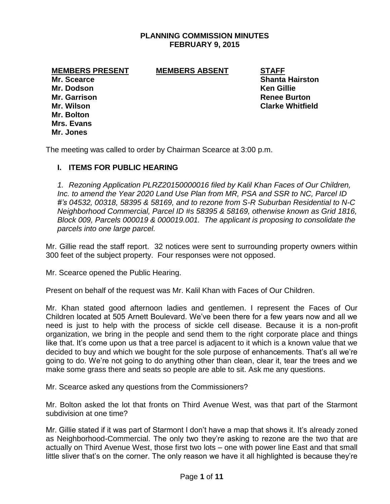## **PLANNING COMMISSION MINUTES FEBRUARY 9, 2015**

#### **MEMBERS PRESENT MEMBERS ABSENT STAFF**

**Mr. Dodson Ken Gillie Mr. Bolton Mrs. Evans Mr. Jones**

**Mr. Scearce Shanta Hairston Mr. Garrison Renee Burton Mr. Wilson Clarke Whitfield**

The meeting was called to order by Chairman Scearce at 3:00 p.m.

# **I. ITEMS FOR PUBLIC HEARING**

*1. Rezoning Application PLRZ20150000016 filed by Kalil Khan Faces of Our Children, Inc. to amend the Year 2020 Land Use Plan from MR, PSA and SSR to NC, Parcel ID #'s 04532, 00318, 58395 & 58169, and to rezone from S-R Suburban Residential to N-C Neighborhood Commercial, Parcel ID #s 58395 & 58169, otherwise known as Grid 1816, Block 009, Parcels 000019 & 000019.001. The applicant is proposing to consolidate the parcels into one large parcel.*

Mr. Gillie read the staff report. 32 notices were sent to surrounding property owners within 300 feet of the subject property. Four responses were not opposed.

Mr. Scearce opened the Public Hearing.

Present on behalf of the request was Mr. Kalil Khan with Faces of Our Children.

Mr. Khan stated good afternoon ladies and gentlemen. I represent the Faces of Our Children located at 505 Arnett Boulevard. We've been there for a few years now and all we need is just to help with the process of sickle cell disease. Because it is a non-profit organization, we bring in the people and send them to the right corporate place and things like that. It's come upon us that a tree parcel is adjacent to it which is a known value that we decided to buy and which we bought for the sole purpose of enhancements. That's all we're going to do. We're not going to do anything other than clean, clear it, tear the trees and we make some grass there and seats so people are able to sit. Ask me any questions.

Mr. Scearce asked any questions from the Commissioners?

Mr. Bolton asked the lot that fronts on Third Avenue West, was that part of the Starmont subdivision at one time?

Mr. Gillie stated if it was part of Starmont I don't have a map that shows it. It's already zoned as Neighborhood-Commercial. The only two they're asking to rezone are the two that are actually on Third Avenue West, those first two lots – one with power line East and that small little sliver that's on the corner. The only reason we have it all highlighted is because they're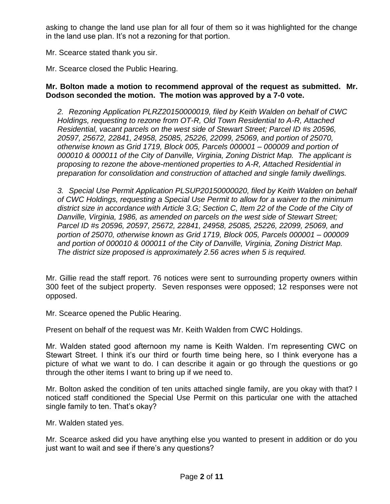asking to change the land use plan for all four of them so it was highlighted for the change in the land use plan. It's not a rezoning for that portion.

Mr. Scearce stated thank you sir.

Mr. Scearce closed the Public Hearing.

### **Mr. Bolton made a motion to recommend approval of the request as submitted. Mr. Dodson seconded the motion. The motion was approved by a 7-0 vote.**

*2. Rezoning Application PLRZ20150000019, filed by Keith Walden on behalf of CWC Holdings, requesting to rezone from OT-R, Old Town Residential to A-R, Attached Residential, vacant parcels on the west side of Stewart Street; Parcel ID #s 20596, 20597, 25672, 22841, 24958, 25085, 25226, 22099, 25069, and portion of 25070, otherwise known as Grid 1719, Block 005, Parcels 000001 – 000009 and portion of 000010 & 000011 of the City of Danville, Virginia, Zoning District Map. The applicant is proposing to rezone the above-mentioned properties to A-R, Attached Residential in preparation for consolidation and construction of attached and single family dwellings.*

*3. Special Use Permit Application PLSUP20150000020, filed by Keith Walden on behalf of CWC Holdings, requesting a Special Use Permit to allow for a waiver to the minimum district size in accordance with Article 3.G; Section C, Item 22 of the Code of the City of Danville, Virginia, 1986, as amended on parcels on the west side of Stewart Street; Parcel ID #s 20596, 20597, 25672, 22841, 24958, 25085, 25226, 22099, 25069, and portion of 25070, otherwise known as Grid 1719, Block 005, Parcels 000001 – 000009 and portion of 000010 & 000011 of the City of Danville, Virginia, Zoning District Map. The district size proposed is approximately 2.56 acres when 5 is required.*

Mr. Gillie read the staff report. 76 notices were sent to surrounding property owners within 300 feet of the subject property. Seven responses were opposed; 12 responses were not opposed.

Mr. Scearce opened the Public Hearing.

Present on behalf of the request was Mr. Keith Walden from CWC Holdings.

Mr. Walden stated good afternoon my name is Keith Walden. I'm representing CWC on Stewart Street. I think it's our third or fourth time being here, so I think everyone has a picture of what we want to do. I can describe it again or go through the questions or go through the other items I want to bring up if we need to.

Mr. Bolton asked the condition of ten units attached single family, are you okay with that? I noticed staff conditioned the Special Use Permit on this particular one with the attached single family to ten. That's okay?

Mr. Walden stated yes.

Mr. Scearce asked did you have anything else you wanted to present in addition or do you just want to wait and see if there's any questions?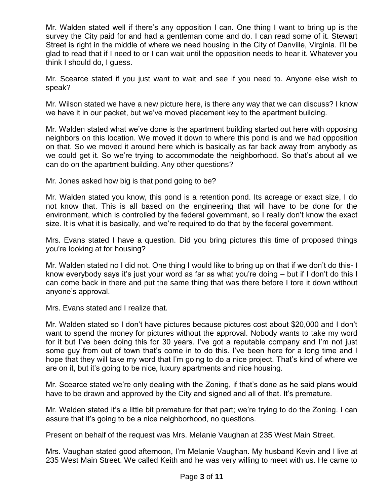Mr. Walden stated well if there's any opposition I can. One thing I want to bring up is the survey the City paid for and had a gentleman come and do. I can read some of it. Stewart Street is right in the middle of where we need housing in the City of Danville, Virginia. I'll be glad to read that if I need to or I can wait until the opposition needs to hear it. Whatever you think I should do, I guess.

Mr. Scearce stated if you just want to wait and see if you need to. Anyone else wish to speak?

Mr. Wilson stated we have a new picture here, is there any way that we can discuss? I know we have it in our packet, but we've moved placement key to the apartment building.

Mr. Walden stated what we've done is the apartment building started out here with opposing neighbors on this location. We moved it down to where this pond is and we had opposition on that. So we moved it around here which is basically as far back away from anybody as we could get it. So we're trying to accommodate the neighborhood. So that's about all we can do on the apartment building. Any other questions?

Mr. Jones asked how big is that pond going to be?

Mr. Walden stated you know, this pond is a retention pond. Its acreage or exact size, I do not know that. This is all based on the engineering that will have to be done for the environment, which is controlled by the federal government, so I really don't know the exact size. It is what it is basically, and we're required to do that by the federal government.

Mrs. Evans stated I have a question. Did you bring pictures this time of proposed things you're looking at for housing?

Mr. Walden stated no I did not. One thing I would like to bring up on that if we don't do this- I know everybody says it's just your word as far as what you're doing – but if I don't do this I can come back in there and put the same thing that was there before I tore it down without anyone's approval.

Mrs. Evans stated and I realize that.

Mr. Walden stated so I don't have pictures because pictures cost about \$20,000 and I don't want to spend the money for pictures without the approval. Nobody wants to take my word for it but I've been doing this for 30 years. I've got a reputable company and I'm not just some guy from out of town that's come in to do this. I've been here for a long time and I hope that they will take my word that I'm going to do a nice project. That's kind of where we are on it, but it's going to be nice, luxury apartments and nice housing.

Mr. Scearce stated we're only dealing with the Zoning, if that's done as he said plans would have to be drawn and approved by the City and signed and all of that. It's premature.

Mr. Walden stated it's a little bit premature for that part; we're trying to do the Zoning. I can assure that it's going to be a nice neighborhood, no questions.

Present on behalf of the request was Mrs. Melanie Vaughan at 235 West Main Street.

Mrs. Vaughan stated good afternoon, I'm Melanie Vaughan. My husband Kevin and I live at 235 West Main Street. We called Keith and he was very willing to meet with us. He came to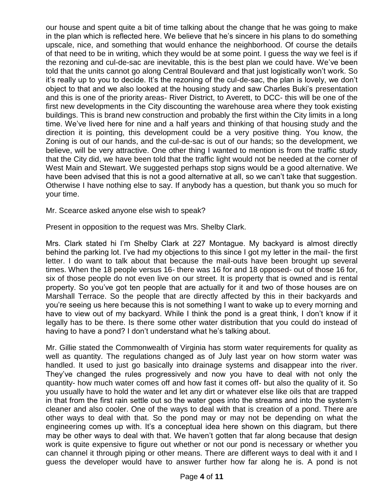our house and spent quite a bit of time talking about the change that he was going to make in the plan which is reflected here. We believe that he's sincere in his plans to do something upscale, nice, and something that would enhance the neighborhood. Of course the details of that need to be in writing, which they would be at some point. I guess the way we feel is if the rezoning and cul-de-sac are inevitable, this is the best plan we could have. We've been told that the units cannot go along Central Boulevard and that just logistically won't work. So it's really up to you to decide. It's the rezoning of the cul-de-sac, the plan is lovely, we don't object to that and we also looked at the housing study and saw Charles Buki's presentation and this is one of the priority areas- River District, to Averett, to DCC- this will be one of the first new developments in the City discounting the warehouse area where they took existing buildings. This is brand new construction and probably the first within the City limits in a long time. We've lived here for nine and a half years and thinking of that housing study and the direction it is pointing, this development could be a very positive thing. You know, the Zoning is out of our hands, and the cul-de-sac is out of our hands; so the development, we believe, will be very attractive. One other thing I wanted to mention is from the traffic study that the City did, we have been told that the traffic light would not be needed at the corner of West Main and Stewart. We suggested perhaps stop signs would be a good alternative. We have been advised that this is not a good alternative at all, so we can't take that suggestion. Otherwise I have nothing else to say. If anybody has a question, but thank you so much for your time.

Mr. Scearce asked anyone else wish to speak?

Present in opposition to the request was Mrs. Shelby Clark.

Mrs. Clark stated hi I'm Shelby Clark at 227 Montague. My backyard is almost directly behind the parking lot. I've had my objections to this since I got my letter in the mail- the first letter. I do want to talk about that because the mail-outs have been brought up several times. When the 18 people versus 16- there was 16 for and 18 opposed- out of those 16 for, six of those people do not even live on our street. It is property that is owned and is rental property. So you've got ten people that are actually for it and two of those houses are on Marshall Terrace. So the people that are directly affected by this in their backyards and you're seeing us here because this is not something I want to wake up to every morning and have to view out of my backyard. While I think the pond is a great think, I don't know if it legally has to be there. Is there some other water distribution that you could do instead of having to have a pond? I don't understand what he's talking about.

Mr. Gillie stated the Commonwealth of Virginia has storm water requirements for quality as well as quantity. The regulations changed as of July last year on how storm water was handled. It used to just go basically into drainage systems and disappear into the river. They've changed the rules progressively and now you have to deal with not only the quantity- how much water comes off and how fast it comes off- but also the quality of it. So you usually have to hold the water and let any dirt or whatever else like oils that are trapped in that from the first rain settle out so the water goes into the streams and into the system's cleaner and also cooler. One of the ways to deal with that is creation of a pond. There are other ways to deal with that. So the pond may or may not be depending on what the engineering comes up with. It's a conceptual idea here shown on this diagram, but there may be other ways to deal with that. We haven't gotten that far along because that design work is quite expensive to figure out whether or not our pond is necessary or whether you can channel it through piping or other means. There are different ways to deal with it and I guess the developer would have to answer further how far along he is. A pond is not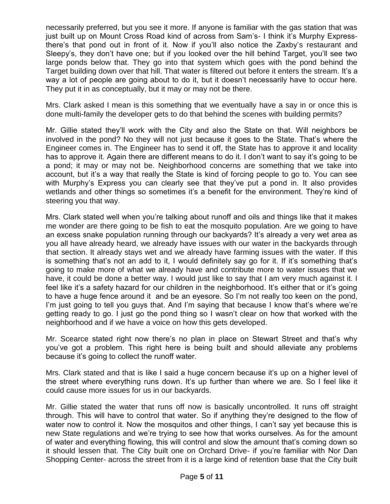necessarily preferred, but you see it more. If anyone is familiar with the gas station that was just built up on Mount Cross Road kind of across from Sam's- I think it's Murphy Expressthere's that pond out in front of it. Now if you'll also notice the Zaxby's restaurant and Sleepy's, they don't have one; but if you looked over the hill behind Target, you'll see two large ponds below that. They go into that system which goes with the pond behind the Target building down over that hill. That water is filtered out before it enters the stream. It's a way a lot of people are going about to do it, but it doesn't necessarily have to occur here. They put it in as conceptually, but it may or may not be there.

Mrs. Clark asked I mean is this something that we eventually have a say in or once this is done multi-family the developer gets to do that behind the scenes with building permits?

Mr. Gillie stated they'll work with the City and also the State on that. Will neighbors be involved in the pond? No they will not just because it goes to the State. That's where the Engineer comes in. The Engineer has to send it off, the State has to approve it and locality has to approve it. Again there are different means to do it. I don't want to say it's going to be a pond; it may or may not be. Neighborhood concerns are something that we take into account, but it's a way that really the State is kind of forcing people to go to. You can see with Murphy's Express you can clearly see that they've put a pond in. It also provides wetlands and other things so sometimes it's a benefit for the environment. They're kind of steering you that way.

Mrs. Clark stated well when you're talking about runoff and oils and things like that it makes me wonder are there going to be fish to eat the mosquito population. Are we going to have an excess snake population running through our backyards? It's already a very wet area as you all have already heard, we already have issues with our water in the backyards through that section. It already stays wet and we already have farming issues with the water. If this is something that's not an add to it, I would definitely say go for it. If it's something that's going to make more of what we already have and contribute more to water issues that we have, it could be done a better way. I would just like to say that I am very much against it. I feel like it's a safety hazard for our children in the neighborhood. It's either that or it's going to have a huge fence around it and be an eyesore. So I'm not really too keen on the pond, I'm just going to tell you guys that. And I'm saying that because I know that's where we're getting ready to go. I just go the pond thing so I wasn't clear on how that worked with the neighborhood and if we have a voice on how this gets developed.

Mr. Scearce stated right now there's no plan in place on Stewart Street and that's why you've got a problem. This right here is being built and should alleviate any problems because it's going to collect the runoff water.

Mrs. Clark stated and that is like I said a huge concern because it's up on a higher level of the street where everything runs down. It's up further than where we are. So I feel like it could cause more issues for us in our backyards.

Mr. Gillie stated the water that runs off now is basically uncontrolled. It runs off straight through. This will have to control that water. So if anything they're designed to the flow of water now to control it. Now the mosquitos and other things, I can't say yet because this is new State regulations and we're trying to see how that works ourselves. As for the amount of water and everything flowing, this will control and slow the amount that's coming down so it should lessen that. The City built one on Orchard Drive- if you're familiar with Nor Dan Shopping Center- across the street from it is a large kind of retention base that the City built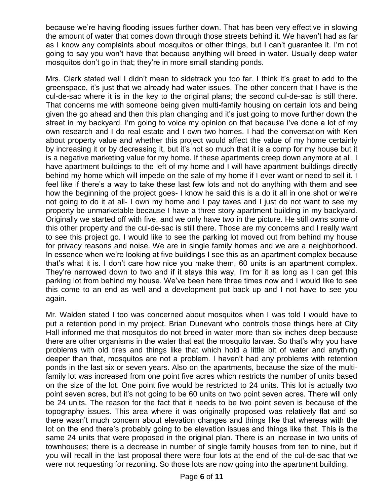because we're having flooding issues further down. That has been very effective in slowing the amount of water that comes down through those streets behind it. We haven't had as far as I know any complaints about mosquitos or other things, but I can't guarantee it. I'm not going to say you won't have that because anything will breed in water. Usually deep water mosquitos don't go in that; they're in more small standing ponds.

Mrs. Clark stated well I didn't mean to sidetrack you too far. I think it's great to add to the greenspace, it's just that we already had water issues. The other concern that I have is the cul-de-sac where it is in the key to the original plans; the second cul-de-sac is still there. That concerns me with someone being given multi-family housing on certain lots and being given the go ahead and then this plan changing and it's just going to move further down the street in my backyard. I'm going to voice my opinion on that because I've done a lot of my own research and I do real estate and I own two homes. I had the conversation with Ken about property value and whether this project would affect the value of my home certainly by increasing it or by decreasing it, but it's not so much that it is a comp for my house but it is a negative marketing value for my home. If these apartments creep down anymore at all, I have apartment buildings to the left of my home and I will have apartment buildings directly behind my home which will impede on the sale of my home if I ever want or need to sell it. I feel like if there's a way to take these last few lots and not do anything with them and see how the beginning of the project goes- I know he said this is a do it all in one shot or we're not going to do it at all- I own my home and I pay taxes and I just do not want to see my property be unmarketable because I have a three story apartment building in my backyard. Originally we started off with five, and we only have two in the picture. He still owns some of this other property and the cul-de-sac is still there. Those are my concerns and I really want to see this project go. I would like to see the parking lot moved out from behind my house for privacy reasons and noise. We are in single family homes and we are a neighborhood. In essence when we're looking at five buildings I see this as an apartment complex because that's what it is. I don't care how nice you make them, 60 units is an apartment complex. They're narrowed down to two and if it stays this way, I'm for it as long as I can get this parking lot from behind my house. We've been here three times now and I would like to see this come to an end as well and a development put back up and I not have to see you again.

Mr. Walden stated I too was concerned about mosquitos when I was told I would have to put a retention pond in my project. Brian Dunevant who controls those things here at City Hall informed me that mosquitos do not breed in water more than six inches deep because there are other organisms in the water that eat the mosquito larvae. So that's why you have problems with old tires and things like that which hold a little bit of water and anything deeper than that, mosquitos are not a problem. I haven't had any problems with retention ponds in the last six or seven years. Also on the apartments, because the size of the multifamily lot was increased from one point five acres which restricts the number of units based on the size of the lot. One point five would be restricted to 24 units. This lot is actually two point seven acres, but it's not going to be 60 units on two point seven acres. There will only be 24 units. The reason for the fact that it needs to be two point seven is because of the topography issues. This area where it was originally proposed was relatively flat and so there wasn't much concern about elevation changes and things like that whereas with the lot on the end there's probably going to be elevation issues and things like that. This is the same 24 units that were proposed in the original plan. There is an increase in two units of townhouses; there is a decrease in number of single family houses from ten to nine, but if you will recall in the last proposal there were four lots at the end of the cul-de-sac that we were not requesting for rezoning. So those lots are now going into the apartment building.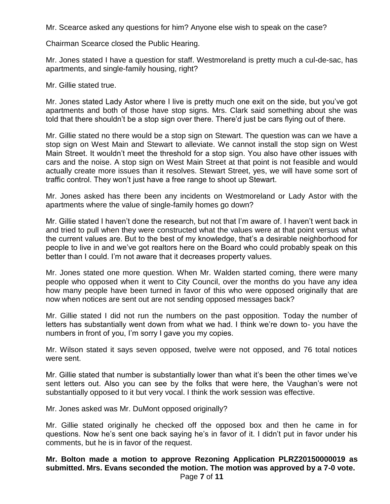Mr. Scearce asked any questions for him? Anyone else wish to speak on the case?

Chairman Scearce closed the Public Hearing.

Mr. Jones stated I have a question for staff. Westmoreland is pretty much a cul-de-sac, has apartments, and single-family housing, right?

Mr. Gillie stated true.

Mr. Jones stated Lady Astor where I live is pretty much one exit on the side, but you've got apartments and both of those have stop signs. Mrs. Clark said something about she was told that there shouldn't be a stop sign over there. There'd just be cars flying out of there.

Mr. Gillie stated no there would be a stop sign on Stewart. The question was can we have a stop sign on West Main and Stewart to alleviate. We cannot install the stop sign on West Main Street. It wouldn't meet the threshold for a stop sign. You also have other issues with cars and the noise. A stop sign on West Main Street at that point is not feasible and would actually create more issues than it resolves. Stewart Street, yes, we will have some sort of traffic control. They won't just have a free range to shoot up Stewart.

Mr. Jones asked has there been any incidents on Westmoreland or Lady Astor with the apartments where the value of single-family homes go down?

Mr. Gillie stated I haven't done the research, but not that I'm aware of. I haven't went back in and tried to pull when they were constructed what the values were at that point versus what the current values are. But to the best of my knowledge, that's a desirable neighborhood for people to live in and we've got realtors here on the Board who could probably speak on this better than I could. I'm not aware that it decreases property values.

Mr. Jones stated one more question. When Mr. Walden started coming, there were many people who opposed when it went to City Council, over the months do you have any idea how many people have been turned in favor of this who were opposed originally that are now when notices are sent out are not sending opposed messages back?

Mr. Gillie stated I did not run the numbers on the past opposition. Today the number of letters has substantially went down from what we had. I think we're down to- you have the numbers in front of you, I'm sorry I gave you my copies.

Mr. Wilson stated it says seven opposed, twelve were not opposed, and 76 total notices were sent.

Mr. Gillie stated that number is substantially lower than what it's been the other times we've sent letters out. Also you can see by the folks that were here, the Vaughan's were not substantially opposed to it but very vocal. I think the work session was effective.

Mr. Jones asked was Mr. DuMont opposed originally?

Mr. Gillie stated originally he checked off the opposed box and then he came in for questions. Now he's sent one back saying he's in favor of it. I didn't put in favor under his comments, but he is in favor of the request.

# **Mr. Bolton made a motion to approve Rezoning Application PLRZ20150000019 as submitted. Mrs. Evans seconded the motion. The motion was approved by a 7-0 vote.**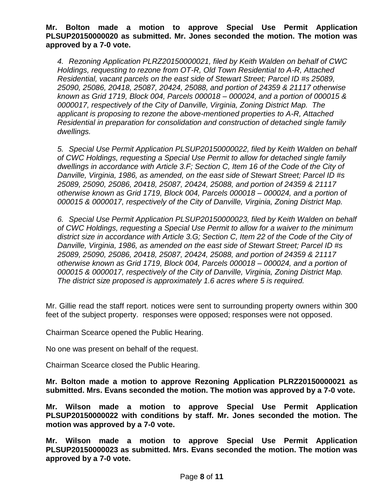**Mr. Bolton made a motion to approve Special Use Permit Application PLSUP20150000020 as submitted. Mr. Jones seconded the motion. The motion was approved by a 7-0 vote.**

*4. Rezoning Application PLRZ20150000021, filed by Keith Walden on behalf of CWC Holdings, requesting to rezone from OT-R, Old Town Residential to A-R, Attached Residential, vacant parcels on the east side of Stewart Street; Parcel ID #s 25089, 25090, 25086, 20418, 25087, 20424, 25088, and portion of 24359 & 21117 otherwise known as Grid 1719, Block 004, Parcels 000018 – 000024, and a portion of 000015 & 0000017, respectively of the City of Danville, Virginia, Zoning District Map. The applicant is proposing to rezone the above-mentioned properties to A-R, Attached Residential in preparation for consolidation and construction of detached single family dwellings.*

*5. Special Use Permit Application PLSUP20150000022, filed by Keith Walden on behalf of CWC Holdings, requesting a Special Use Permit to allow for detached single family dwellings in accordance with Article 3.F; Section C, Item 16 of the Code of the City of Danville, Virginia, 1986, as amended, on the east side of Stewart Street; Parcel ID #s 25089, 25090, 25086, 20418, 25087, 20424, 25088, and portion of 24359 & 21117 otherwise known as Grid 1719, Block 004, Parcels 000018 – 000024, and a portion of 000015 & 0000017, respectively of the City of Danville, Virginia, Zoning District Map.* 

*6. Special Use Permit Application PLSUP20150000023, filed by Keith Walden on behalf of CWC Holdings, requesting a Special Use Permit to allow for a waiver to the minimum district size in accordance with Article 3.G; Section C, Item 22 of the Code of the City of Danville, Virginia, 1986, as amended on the east side of Stewart Street; Parcel ID #s 25089, 25090, 25086, 20418, 25087, 20424, 25088, and portion of 24359 & 21117 otherwise known as Grid 1719, Block 004, Parcels 000018 – 000024, and a portion of 000015 & 0000017, respectively of the City of Danville, Virginia, Zoning District Map. The district size proposed is approximately 1.6 acres where 5 is required.*

Mr. Gillie read the staff report. notices were sent to surrounding property owners within 300 feet of the subject property. responses were opposed; responses were not opposed.

Chairman Scearce opened the Public Hearing.

No one was present on behalf of the request.

Chairman Scearce closed the Public Hearing.

**Mr. Bolton made a motion to approve Rezoning Application PLRZ20150000021 as submitted. Mrs. Evans seconded the motion. The motion was approved by a 7-0 vote.** 

**Mr. Wilson made a motion to approve Special Use Permit Application PLSUP20150000022 with conditions by staff. Mr. Jones seconded the motion. The motion was approved by a 7-0 vote.** 

**Mr. Wilson made a motion to approve Special Use Permit Application PLSUP20150000023 as submitted. Mrs. Evans seconded the motion. The motion was approved by a 7-0 vote.**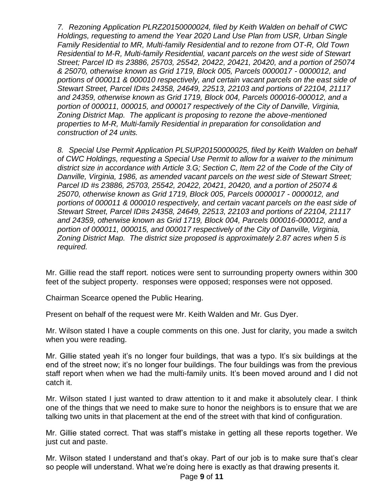*7. Rezoning Application PLRZ20150000024, filed by Keith Walden on behalf of CWC Holdings, requesting to amend the Year 2020 Land Use Plan from USR, Urban Single Family Residential to MR, Multi-family Residential and to rezone from OT-R, Old Town Residential to M-R, Multi-family Residential, vacant parcels on the west side of Stewart Street; Parcel ID #s 23886, 25703, 25542, 20422, 20421, 20420, and a portion of 25074 & 25070, otherwise known as Grid 1719, Block 005, Parcels 0000017 - 0000012, and portions of 000011 & 000010 respectively, and certain vacant parcels on the east side of Stewart Street, Parcel ID#s 24358, 24649, 22513, 22103 and portions of 22104, 21117 and 24359, otherwise known as Grid 1719, Block 004, Parcels 000016-000012, and a portion of 000011, 000015, and 000017 respectively of the City of Danville, Virginia, Zoning District Map. The applicant is proposing to rezone the above-mentioned properties to M-R, Multi-family Residential in preparation for consolidation and construction of 24 units.*

*8. Special Use Permit Application PLSUP20150000025, filed by Keith Walden on behalf of CWC Holdings, requesting a Special Use Permit to allow for a waiver to the minimum district size in accordance with Article 3.G; Section C, Item 22 of the Code of the City of Danville, Virginia, 1986, as amended vacant parcels on the west side of Stewart Street; Parcel ID #s 23886, 25703, 25542, 20422, 20421, 20420, and a portion of 25074 & 25070, otherwise known as Grid 1719, Block 005, Parcels 0000017 - 0000012, and portions of 000011 & 000010 respectively, and certain vacant parcels on the east side of Stewart Street, Parcel ID#s 24358, 24649, 22513, 22103 and portions of 22104, 21117 and 24359, otherwise known as Grid 1719, Block 004, Parcels 000016-000012, and a portion of 000011, 000015, and 000017 respectively of the City of Danville, Virginia, Zoning District Map. The district size proposed is approximately 2.87 acres when 5 is required.*

Mr. Gillie read the staff report. notices were sent to surrounding property owners within 300 feet of the subject property. responses were opposed; responses were not opposed.

Chairman Scearce opened the Public Hearing.

Present on behalf of the request were Mr. Keith Walden and Mr. Gus Dyer.

Mr. Wilson stated I have a couple comments on this one. Just for clarity, you made a switch when you were reading.

Mr. Gillie stated yeah it's no longer four buildings, that was a typo. It's six buildings at the end of the street now; it's no longer four buildings. The four buildings was from the previous staff report when when we had the multi-family units. It's been moved around and I did not catch it.

Mr. Wilson stated I just wanted to draw attention to it and make it absolutely clear. I think one of the things that we need to make sure to honor the neighbors is to ensure that we are talking two units in that placement at the end of the street with that kind of configuration.

Mr. Gillie stated correct. That was staff's mistake in getting all these reports together. We just cut and paste.

Mr. Wilson stated I understand and that's okay. Part of our job is to make sure that's clear so people will understand. What we're doing here is exactly as that drawing presents it.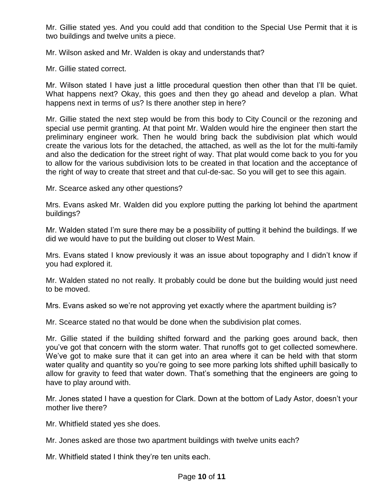Mr. Gillie stated yes. And you could add that condition to the Special Use Permit that it is two buildings and twelve units a piece.

Mr. Wilson asked and Mr. Walden is okay and understands that?

Mr. Gillie stated correct.

Mr. Wilson stated I have just a little procedural question then other than that I'll be quiet. What happens next? Okay, this goes and then they go ahead and develop a plan. What happens next in terms of us? Is there another step in here?

Mr. Gillie stated the next step would be from this body to City Council or the rezoning and special use permit granting. At that point Mr. Walden would hire the engineer then start the preliminary engineer work. Then he would bring back the subdivision plat which would create the various lots for the detached, the attached, as well as the lot for the multi-family and also the dedication for the street right of way. That plat would come back to you for you to allow for the various subdivision lots to be created in that location and the acceptance of the right of way to create that street and that cul-de-sac. So you will get to see this again.

Mr. Scearce asked any other questions?

Mrs. Evans asked Mr. Walden did you explore putting the parking lot behind the apartment buildings?

Mr. Walden stated I'm sure there may be a possibility of putting it behind the buildings. If we did we would have to put the building out closer to West Main.

Mrs. Evans stated I know previously it was an issue about topography and I didn't know if you had explored it.

Mr. Walden stated no not really. It probably could be done but the building would just need to be moved.

Mrs. Evans asked so we're not approving yet exactly where the apartment building is?

Mr. Scearce stated no that would be done when the subdivision plat comes.

Mr. Gillie stated if the building shifted forward and the parking goes around back, then you've got that concern with the storm water. That runoffs got to get collected somewhere. We've got to make sure that it can get into an area where it can be held with that storm water quality and quantity so you're going to see more parking lots shifted uphill basically to allow for gravity to feed that water down. That's something that the engineers are going to have to play around with.

Mr. Jones stated I have a question for Clark. Down at the bottom of Lady Astor, doesn't your mother live there?

Mr. Whitfield stated yes she does.

Mr. Jones asked are those two apartment buildings with twelve units each?

Mr. Whitfield stated I think they're ten units each.